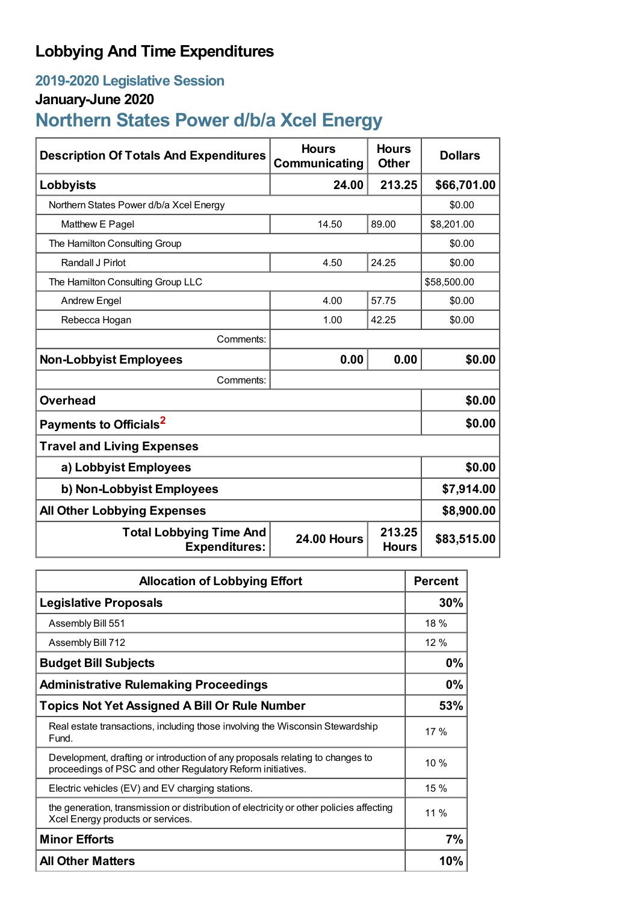# **Lobbying And Time Expenditures**

## **2019-2020 Legislative Session**

## **January-June 2020**

# **Northern States Power d/b/a Xcel Energy**

| <b>Description Of Totals And Expenditures</b>          | <b>Hours</b><br>Communicating | <b>Hours</b><br><b>Other</b> | <b>Dollars</b> |  |
|--------------------------------------------------------|-------------------------------|------------------------------|----------------|--|
| Lobbyists                                              | 24.00                         | 213.25                       | \$66,701.00    |  |
| Northern States Power d/b/a Xcel Energy                |                               |                              | \$0.00         |  |
| Matthew E Pagel                                        | 14.50                         | 89.00                        | \$8,201.00     |  |
| The Hamilton Consulting Group                          |                               |                              | \$0.00         |  |
| Randall J Pirlot                                       | 4.50                          | 24.25                        | \$0.00         |  |
| The Hamilton Consulting Group LLC                      |                               |                              | \$58,500.00    |  |
| <b>Andrew Engel</b>                                    | 4.00                          | 57.75                        | \$0.00         |  |
| Rebecca Hogan                                          | 1.00                          | 42.25                        | \$0.00         |  |
| Comments:                                              |                               |                              |                |  |
| <b>Non-Lobbyist Employees</b>                          | 0.00                          | 0.00                         | \$0.00         |  |
| Comments:                                              |                               |                              |                |  |
| <b>Overhead</b>                                        |                               |                              | \$0.00         |  |
| Payments to Officials <sup>2</sup>                     | \$0.00                        |                              |                |  |
| <b>Travel and Living Expenses</b>                      |                               |                              |                |  |
| a) Lobbyist Employees                                  | \$0.00                        |                              |                |  |
| b) Non-Lobbyist Employees                              | \$7,914.00                    |                              |                |  |
| <b>All Other Lobbying Expenses</b>                     |                               |                              | \$8,900.00     |  |
| <b>Total Lobbying Time And</b><br><b>Expenditures:</b> | <b>24.00 Hours</b>            | 213.25<br><b>Hours</b>       | \$83,515.00    |  |

| <b>Allocation of Lobbying Effort</b>                                                                                                         |       |
|----------------------------------------------------------------------------------------------------------------------------------------------|-------|
| <b>Legislative Proposals</b>                                                                                                                 | 30%   |
| Assembly Bill 551                                                                                                                            | 18 %  |
| Assembly Bill 712                                                                                                                            | 12%   |
| <b>Budget Bill Subjects</b>                                                                                                                  | 0%    |
| <b>Administrative Rulemaking Proceedings</b>                                                                                                 | $0\%$ |
| <b>Topics Not Yet Assigned A Bill Or Rule Number</b>                                                                                         | 53%   |
| Real estate transactions, including those involving the Wisconsin Stewardship<br>Fund.                                                       | 17%   |
| Development, drafting or introduction of any proposals relating to changes to<br>proceedings of PSC and other Regulatory Reform initiatives. | 10 %  |
| Electric vehicles (EV) and EV charging stations.                                                                                             | 15 %  |
| the generation, transmission or distribution of electricity or other policies affecting<br>Xcel Energy products or services.                 | 11 %  |
| <b>Minor Efforts</b>                                                                                                                         | 7%    |
| <b>All Other Matters</b>                                                                                                                     | 10%   |